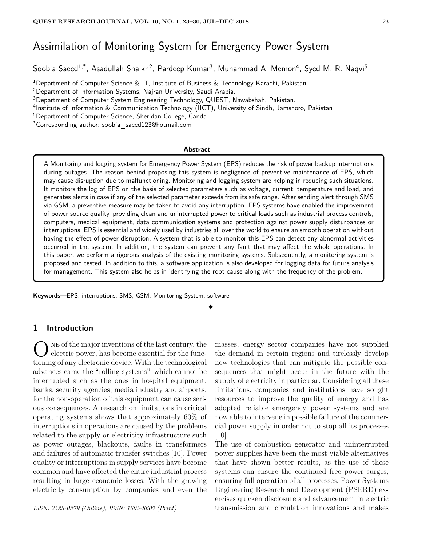# Assimilation of Monitoring System for Emergency Power System

Soobia Saeed<sup>1,\*</sup>, Asadullah Shaikh<sup>2</sup>, Pardeep Kumar<sup>3</sup>, Muhammad A. Memon<sup>4</sup>, Syed M. R. Naqvi<sup>5</sup>

<sup>1</sup>Department of Computer Science & IT, Institute of Business & Technology Karachi, Pakistan.

 $2$ Department of Information Systems, Najran University, Saudi Arabia.

<sup>3</sup>Department of Computer System Engineering Technology, QUEST, Nawabshah, Pakistan.

<sup>4</sup>Institute of Information & Communication Technology (IICT), University of Sindh, Jamshoro, Pakistan

<sup>5</sup>Department of Computer Science, Sheridan College, Canda.

\*Corresponding author: soobia saeed123@hotmail.com

#### **Abstract**

A Monitoring and logging system for Emergency Power System (EPS) reduces the risk of power backup interruptions during outages. The reason behind proposing this system is negligence of preventive maintenance of EPS, which may cause disruption due to malfunctioning. Monitoring and logging system are helping in reducing such situations. It monitors the log of EPS on the basis of selected parameters such as voltage, current, temperature and load, and generates alerts in case if any of the selected parameter exceeds from its safe range. After sending alert through SMS via GSM, a preventive measure may be taken to avoid any interruption. EPS systems have enabled the improvement of power source quality, providing clean and uninterrupted power to critical loads such as industrial process controls, computers, medical equipment, data communication systems and protection against power supply disturbances or interruptions. EPS is essential and widely used by industries all over the world to ensure an smooth operation without having the effect of power disruption. A system that is able to monitor this EPS can detect any abnormal activities occurred in the system. In addition, the system can prevent any fault that may affect the whole operations. In this paper, we perform a rigorous analysis of the existing monitoring systems. Subsequently, a monitoring system is proposed and tested. In addition to this, a software application is also developed for logging data for future analysis for management. This system also helps in identifying the root cause along with the frequency of the problem.

✦

**Keywords**—EPS, interruptions, SMS, GSM, Monitoring System, software.

#### **1 Introduction**

ONE of the major inventions of the last century, the electric power, has become essential for the functioning of any electronic device. With the technological ne of the major inventions of the last century, the electric power, has become essential for the funcadvances came the "rolling systems" which cannot be interrupted such as the ones in hospital equipment, banks, security agencies, media industry and airports, for the non-operation of this equipment can cause serious consequences. A research on limitations in critical operating systems shows that approximately 60% of interruptions in operations are caused by the problems related to the supply or electricity infrastructure such as power outages, blackouts, faults in transformers and failures of automatic transfer switches [10]. Power quality or interruptions in supply services have become common and have affected the entire industrial process resulting in large economic losses. With the growing electricity consumption by companies and even the

*ISSN: 2523-0379 (Online), ISSN: 1605-8607 (Print)*

masses, energy sector companies have not supplied the demand in certain regions and tirelessly develop new technologies that can mitigate the possible consequences that might occur in the future with the supply of electricity in particular. Considering all these limitations, companies and institutions have sought resources to improve the quality of energy and has adopted reliable emergency power systems and are now able to intervene in possible failure of the commercial power supply in order not to stop all its processes [10].

The use of combustion generator and uninterrupted power supplies have been the most viable alternatives that have shown better results, as the use of these systems can ensure the continued free power surges, ensuring full operation of all processes. Power Systems Engineering Research and Development (PSERD) exercises quicken disclosure and advancement in electric transmission and circulation innovations and makes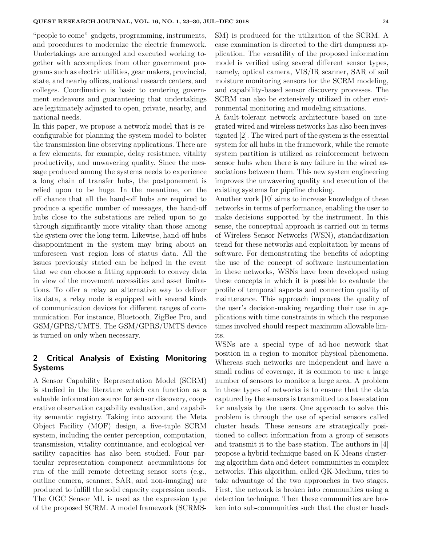"people to come" gadgets, programming, instruments, and procedures to modernize the electric framework. Undertakings are arranged and executed working together with accomplices from other government programs such as electric utilities, gear makers, provincial, state, and nearby offices, national research centers, and colleges. Coordination is basic to centering government endeavors and guaranteeing that undertakings are legitimately adjusted to open, private, nearby, and national needs.

In this paper, we propose a network model that is reconfigurable for planning the system model to bolster the transmission line observing applications. There are a few elements, for example, delay resistance, vitality productivity, and unwavering quality. Since the message produced among the systems needs to experience a long chain of transfer hubs, the postponement is relied upon to be huge. In the meantime, on the off chance that all the hand-off hubs are required to produce a specific number of messages, the hand-off hubs close to the substations are relied upon to go through significantly more vitality than those among the system over the long term. Likewise, hand-off hubs disappointment in the system may bring about an unforeseen vast region loss of status data. All the issues previously stated can be helped in the event that we can choose a fitting approach to convey data in view of the movement necessities and asset limitations. To offer a relay an alternative way to deliver its data, a relay node is equipped with several kinds of communication devices for different ranges of communication. For instance, Bluetooth, ZigBee Pro, and GSM/GPRS/UMTS. The GSM/GPRS/UMTS device is turned on only when necessary.

# **2 Critical Analysis of Existing Monitoring Systems**

A Sensor Capability Representation Model (SCRM) is studied in the literature which can function as a valuable information source for sensor discovery, cooperative observation capability evaluation, and capability semantic registry. Taking into account the Meta Object Facility (MOF) design, a five-tuple SCRM system, including the center perception, computation, transmission, vitality continuance, and ecological versatility capacities has also been studied. Four particular representation component accumulations for run of the mill remote detecting sensor sorts (e.g., outline camera, scanner, SAR, and non-imaging) are produced to fulfill the solid capacity expression needs. The OGC Sensor ML is used as the expression type of the proposed SCRM. A model framework (SCRMS- SM) is produced for the utilization of the SCRM. A case examination is directed to the dirt dampness application. The versatility of the proposed information model is verified using several different sensor types, namely, optical camera, VIS/IR scanner, SAR of soil moisture monitoring sensors for the SCRM modeling, and capability-based sensor discovery processes. The SCRM can also be extensively utilized in other environmental monitoring and modeling situations.

A fault-tolerant network architecture based on integrated wired and wireless networks has also been investigated [2]. The wired part of the system is the essential system for all hubs in the framework, while the remote system partition is utilized as reinforcement between sensor hubs when there is any failure in the wired associations between them. This new system engineering improves the unwavering quality and execution of the existing systems for pipeline choking.

Another work [10] aims to increase knowledge of these networks in terms of performance, enabling the user to make decisions supported by the instrument. In this sense, the conceptual approach is carried out in terms of Wireless Sensor Networks (WSN), standardization trend for these networks and exploitation by means of software. For demonstrating the benefits of adopting the use of the concept of software instrumentation in these networks, WSNs have been developed using these concepts in which it is possible to evaluate the profile of temporal aspects and connection quality of maintenance. This approach improves the quality of the user's decision-making regarding their use in applications with time constraints in which the response times involved should respect maximum allowable limits.

WSNs are a special type of ad-hoc network that position in a region to monitor physical phenomena. Whereas such networks are independent and have a small radius of coverage, it is common to use a large number of sensors to monitor a large area. A problem in these types of networks is to ensure that the data captured by the sensors is transmitted to a base station for analysis by the users. One approach to solve this problem is through the use of special sensors called cluster heads. These sensors are strategically positioned to collect information from a group of sensors and transmit it to the base station. The authors in [4] propose a hybrid technique based on K-Means clustering algorithm data and detect communities in complex networks. This algorithm, called QK-Medium, tries to take advantage of the two approaches in two stages. First, the network is broken into communities using a detection technique. Then these communities are broken into sub-communities such that the cluster heads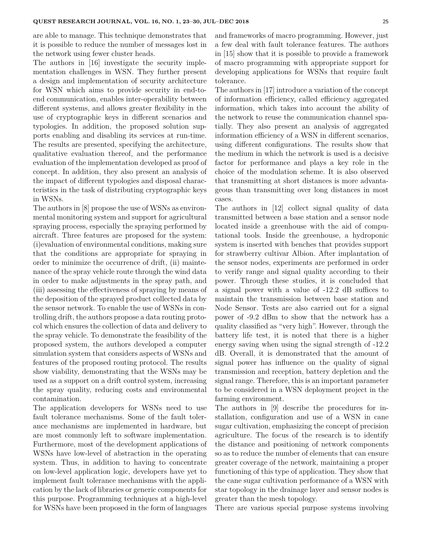are able to manage. This technique demonstrates that it is possible to reduce the number of messages lost in the network using fewer cluster heads.

The authors in [16] investigate the security implementation challenges in WSN. They further present a design and implementation of security architecture for WSN which aims to provide security in end-toend communication, enables inter-operability between different systems, and allows greater flexibility in the use of cryptographic keys in different scenarios and typologies. In addition, the proposed solution supports enabling and disabling its services at run-time. The results are presented, specifying the architecture, qualitative evaluation thereof, and the performance evaluation of the implementation developed as proof of concept. In addition, they also present an analysis of the impact of different typologies and disposal characteristics in the task of distributing cryptographic keys in WSNs.

The authors in [8] propose the use of WSNs as environmental monitoring system and support for agricultural spraying process, especially the spraying performed by aircraft. Three features are proposed for the system: (i)evaluation of environmental conditions, making sure that the conditions are appropriate for spraying in order to minimize the occurrence of drift, (ii) maintenance of the spray vehicle route through the wind data in order to make adjustments in the spray path, and (iii) assessing the effectiveness of spraying by means of the deposition of the sprayed product collected data by the sensor network. To enable the use of WSNs in controlling drift, the authors propose a data routing protocol which ensures the collection of data and delivery to the spray vehicle. To demonstrate the feasibility of the proposed system, the authors developed a computer simulation system that considers aspects of WSNs and features of the proposed routing protocol. The results show viability, demonstrating that the WSNs may be used as a support on a drift control system, increasing the spray quality, reducing costs and environmental contamination.

The application developers for WSNs need to use fault tolerance mechanisms. Some of the fault tolerance mechanisms are implemented in hardware, but are most commonly left to software implementation. Furthermore, most of the development applications of WSNs have low-level of abstraction in the operating system. Thus, in addition to having to concentrate on low-level application logic, developers have yet to implement fault tolerance mechanisms with the application by the lack of libraries or generic components for this purpose. Programming techniques at a high-level for WSNs have been proposed in the form of languages and frameworks of macro programming. However, just a few deal with fault tolerance features. The authors in [15] show that it is possible to provide a framework of macro programming with appropriate support for developing applications for WSNs that require fault tolerance.

The authors in [17] introduce a variation of the concept of information efficiency, called efficiency aggregated information, which takes into account the ability of the network to reuse the communication channel spatially. They also present an analysis of aggregated information efficiency of a WSN in different scenarios, using different configurations. The results show that the medium in which the network is used is a decisive factor for performance and plays a key role in the choice of the modulation scheme. It is also observed that transmitting at short distances is more advantageous than transmitting over long distances in most cases.

The authors in [12] collect signal quality of data transmitted between a base station and a sensor node located inside a greenhouse with the aid of computational tools. Inside the greenhouse, a hydroponic system is inserted with benches that provides support for strawberry cultivar Albion. After implantation of the sensor nodes, experiments are performed in order to verify range and signal quality according to their power. Through these studies, it is concluded that a signal power with a value of -12.2 dB suffices to maintain the transmission between base station and Node Sensor. Tests are also carried out for a signal power of -9.2 dBm to show that the network has a quality classified as "very high". However, through the battery life test, it is noted that there is a higher energy saving when using the signal strength of -12.2 dB. Overall, it is demonstrated that the amount of signal power has influence on the quality of signal transmission and reception, battery depletion and the signal range. Therefore, this is an important parameter to be considered in a WSN deployment project in the farming environment.

The authors in [9] describe the procedures for installation, configuration and use of a WSN in cane sugar cultivation, emphasizing the concept of precision agriculture. The focus of the research is to identify the distance and positioning of network components so as to reduce the number of elements that can ensure greater coverage of the network, maintaining a proper functioning of this type of application. They show that the cane sugar cultivation performance of a WSN with star topology in the drainage layer and sensor nodes is greater than the mesh topology.

There are various special purpose systems involving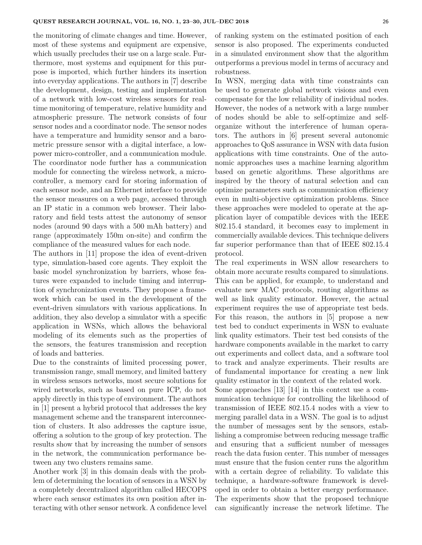the monitoring of climate changes and time. However, most of these systems and equipment are expensive, which usually precludes their use on a large scale. Furthermore, most systems and equipment for this purpose is imported, which further hinders its insertion into everyday applications. The authors in [7] describe the development, design, testing and implementation of a network with low-cost wireless sensors for realtime monitoring of temperature, relative humidity and atmospheric pressure. The network consists of four sensor nodes and a coordinator node. The sensor nodes have a temperature and humidity sensor and a barometric pressure sensor with a digital interface, a lowpower micro-controller, and a communication module. The coordinator node further has a communication module for connecting the wireless network, a microcontroller, a memory card for storing information of each sensor node, and an Ethernet interface to provide the sensor measures on a web page, accessed through an IP static in a common web browser. Their laboratory and field tests attest the autonomy of sensor nodes (around 90 days with a 500 mAh battery) and range (approximately 150m on-site) and confirm the compliance of the measured values for each node.

The authors in [11] propose the idea of event-driven type, simulation-based core agents. They exploit the basic model synchronization by barriers, whose features were expanded to include timing and interruption of synchronization events. They propose a framework which can be used in the development of the event-driven simulators with various applications. In addition, they also develop a simulator with a specific application in WSNs, which allows the behavioral modeling of its elements such as the properties of the sensors, the features transmission and reception of loads and batteries.

Due to the constraints of limited processing power, transmission range, small memory, and limited battery in wireless sensors networks, most secure solutions for wired networks, such as based on pure ICP, do not apply directly in this type of environment. The authors in [1] present a hybrid protocol that addresses the key management scheme and the transparent interconnection of clusters. It also addresses the capture issue, offering a solution to the group of key protection. The results show that by increasing the number of sensors in the network, the communication performance between any two clusters remains same.

Another work [3] in this domain deals with the problem of determining the location of sensors in a WSN by a completely decentralized algorithm called HECOPS where each sensor estimates its own position after interacting with other sensor network. A confidence level of ranking system on the estimated position of each sensor is also proposed. The experiments conducted in a simulated environment show that the algorithm outperforms a previous model in terms of accuracy and robustness.

In WSN, merging data with time constraints can be used to generate global network visions and even compensate for the low reliability of individual nodes. However, the nodes of a network with a large number of nodes should be able to self-optimize and selforganize without the interference of human operators. The authors in [6] present several autonomic approaches to QoS assurance in WSN with data fusion applications with time constraints. One of the autonomic approaches uses a machine learning algorithm based on genetic algorithms. These algorithms are inspired by the theory of natural selection and can optimize parameters such as communication efficiency even in multi-objective optimization problems. Since these approaches were modeled to operate at the application layer of compatible devices with the IEEE 802.15.4 standard, it becomes easy to implement in commercially available devices. This technique delivers far superior performance than that of IEEE 802.15.4 protocol.

The real experiments in WSN allow researchers to obtain more accurate results compared to simulations. This can be applied, for example, to understand and evaluate new MAC protocols, routing algorithms as well as link quality estimator. However, the actual experiment requires the use of appropriate test beds. For this reason, the authors in [5] propose a new test bed to conduct experiments in WSN to evaluate link quality estimators. Their test bed consists of the hardware components available in the market to carry out experiments and collect data, and a software tool to track and analyze experiments. Their results are of fundamental importance for creating a new link quality estimator in the context of the related work.

Some approaches [13] [14] in this context use a communication technique for controlling the likelihood of transmission of IEEE 802.15.4 nodes with a view to merging parallel data in a WSN. The goal is to adjust the number of messages sent by the sensors, establishing a compromise between reducing message traffic and ensuring that a sufficient number of messages reach the data fusion center. This number of messages must ensure that the fusion center runs the algorithm with a certain degree of reliability. To validate this technique, a hardware-software framework is developed in order to obtain a better energy performance. The experiments show that the proposed technique can significantly increase the network lifetime. The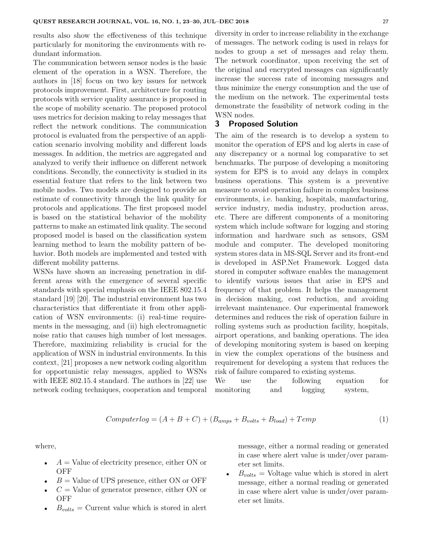results also show the effectiveness of this technique particularly for monitoring the environments with redundant information.

The communication between sensor nodes is the basic element of the operation in a WSN. Therefore, the authors in [18] focus on two key issues for network protocols improvement. First, architecture for routing protocols with service quality assurance is proposed in the scope of mobility scenario. The proposed protocol uses metrics for decision making to relay messages that reflect the network conditions. The communication protocol is evaluated from the perspective of an application scenario involving mobility and different loads messages. In addition, the metrics are aggregated and analyzed to verify their influence on different network conditions. Secondly, the connectivity is studied in its essential feature that refers to the link between two mobile nodes. Two models are designed to provide an estimate of connectivity through the link quality for protocols and applications. The first proposed model is based on the statistical behavior of the mobility patterns to make an estimated link quality. The second proposed model is based on the classification system learning method to learn the mobility pattern of behavior. Both models are implemented and tested with different mobility patterns.

WSNs have shown an increasing penetration in different areas with the emergence of several specific standards with special emphasis on the IEEE 802.15.4 standard [19] [20]. The industrial environment has two characteristics that differentiate it from other application of WSN environments: (i) real-time requirements in the messaging, and (ii) high electromagnetic noise ratio that causes high number of lost messages. Therefore, maximizing reliability is crucial for the application of WSN in industrial environments. In this context, [21] proposes a new network coding algorithm for opportunistic relay messages, applied to WSNs with IEEE 802.15.4 standard. The authors in [22] use network coding techniques, cooperation and temporal diversity in order to increase reliability in the exchange of messages. The network coding is used in relays for nodes to group a set of messages and relay them. The network coordinator, upon receiving the set of the original and encrypted messages can significantly increase the success rate of incoming messages and thus minimize the energy consumption and the use of the medium on the network. The experimental tests demonstrate the feasibility of network coding in the WSN nodes.

#### **3 Proposed Solution**

The aim of the research is to develop a system to monitor the operation of EPS and log alerts in case of any discrepancy or a normal log comparative to set benchmarks. The purpose of developing a monitoring system for EPS is to avoid any delays in complex business operations. This system is a preventive measure to avoid operation failure in complex business environments, i.e. banking, hospitals, manufacturing, service industry, media industry, production areas, etc. There are different components of a monitoring system which include software for logging and storing information and hardware such as sensors, GSM module and computer. The developed monitoring system stores data in MS-SQL Server and its front-end is developed in ASP.Net Framework. Logged data stored in computer software enables the management to identify various issues that arise in EPS and frequency of that problem. It helps the management in decision making, cost reduction, and avoiding irrelevant maintenance. Our experimental framework determines and reduces the risk of operation failure in rolling systems such as production facility, hospitals, airport operations, and banking operations. The idea of developing monitoring system is based on keeping in view the complex operations of the business and requirement for developing a system that reduces the risk of failure compared to existing systems.

We use the following equation for monitoring and logging system,

$$
Computer log = (A + B + C) + (B_{amps} + B_{volts} + B_{load}) + Temp
$$
\n
$$
(1)
$$

where,

- $\bullet$   $A =$  Value of electricity presence, either ON or OFF
- $B =$  Value of UPS presence, either ON or OFF
- $C =$  Value of generator presence, either ON or OFF
- $B_{volts}$  = Current value which is stored in alert

message, either a normal reading or generated in case where alert value is under/over parameter set limits.

 $B_{volts}$  = Voltage value which is stored in alert message, either a normal reading or generated in case where alert value is under/over parameter set limits.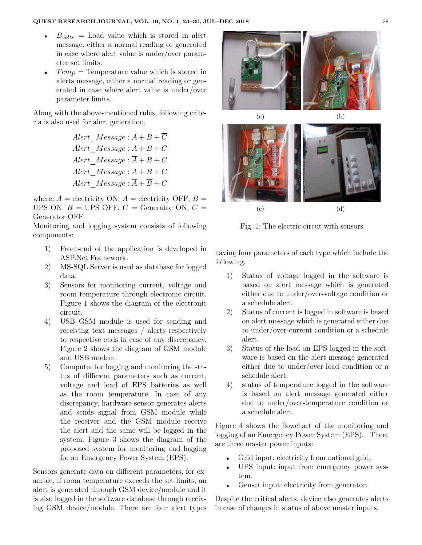- $B_{volts} =$  Load value which is stored in alert message, either a normal reading or generated in case where alert value is under/over parameter set limits.
- $Temp = Temperature value which is stored in$ alerts message, either a normal reading or generated in case where alert value is under/over parameter limits.

Along with the above-mentioned rules, following criteria is also used for alert generation,

> *Alert*  $Message: A + B + \overline{C}$ *Alert*  $Message : \overline{A} + B + \overline{C}$  $Alert$   $Message: \overline{A} + B + C$ *Alert*  $Message: A + \overline{B} + \overline{C}$ *Alert*  $Message : \overline{A} + \overline{B} + C$

where,  $A =$  electricity ON,  $\overline{A} =$  electricity OFF,  $B =$ UPS ON,  $\overline{B}$  = UPS OFF,  $C$  = Generator ON,  $\overline{C}$  = Generator OFF

Monitoring and logging system consists of following components:

- 1) Front-end of the application is developed in ASP.Net Framework.
- 2) MS-SQL Server is used as database for logged data.
- 3) Sensors for monitoring current, voltage and room temperature through electronic circuit. Figure 1 shows the diagram of the electronic circuit.
- 4) USB GSM module is used for sending and receiving text messages / alerts respectively to respective ends in case of any discrepancy. Figure 2 shows the diagram of GSM module and USB modem.
- 5) Computer for logging and monitoring the status of different parameters such as current, voltage and load of EPS batteries as well as the room temperature. In case of any discrepancy, hardware sensor generates alerts and sends signal from GSM module while the receiver and the GSM module receive the alert and the same will be logged in the system. Figure 3 shows the diagram of the proposed system for monitoring and logging for an Emergency Power System (EPS).

Sensors generate data on different parameters, for example, if room temperature exceeds the set limits, an alert is generated through GSM device/module and it is also logged in the software database through receiving GSM device/module. There are four alert types



Fig. 1: The electric circut with sensors

having four parameters of each type which include the following.

- 1) Status of voltage logged in the software is based on alert message which is generated either due to under/over-voltage condition or a schedule alert.
- 2) Status of current is logged in software is based on alert message which is generated either due to under/over-current condition or a schedule alert.
- 3) Status of the load on EPS logged in the software is based on the alert message generated either due to under/over-load condition or a schedule alert.
- 4) status of temperature logged in the software is based on alert message generated either due to under/over-temperature condition or a schedule alert.

Figure 4 shows the flowchart of the monitoring and logging of an Emergency Power System (EPS). There are three master power inputs:

- Grid input: electricity from national grid.
- UPS input: input from emergency power system.
- Genset input: electricity from generator.

Despite the critical alerts, device also generates alerts in case of changes in status of above master inputs.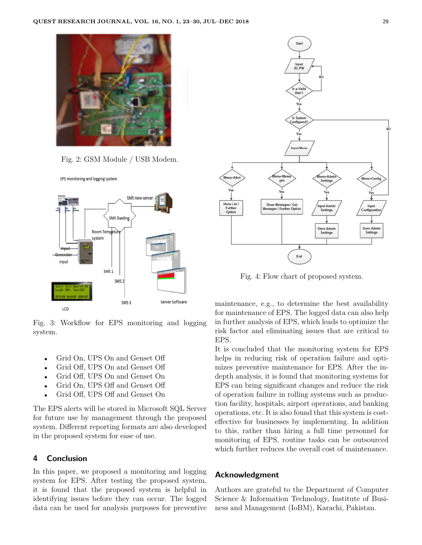

Fig. 2: GSM Module / USB Modem.





Fig. 3: Workflow for EPS monitoring and logging system.

- Grid On, UPS On and Genset Off
- Grid Off, UPS On and Genset Off
- Grid Off, UPS On and Genset On
- Grid On, UPS Off and Genset Off
- Grid Off, UPS Off and Genset On

The EPS alerts will be stored in Microsoft SQL Server for future use by management through the proposed system. Different reporting formats are also developed in the proposed system for ease of use.

## **4 Conclusion**

In this paper, we proposed a monitoring and logging system for EPS. After testing the proposed system, it is found that the proposed system is helpful in identifying issues before they can occur. The logged data can be used for analysis purposes for preventive



Fig. 4: Flow chart of proposed system.

maintenance, e.g., to determine the best availability for maintenance of EPS. The logged data can also help in further analysis of EPS, which leads to optimize the risk factor and eliminating issues that are critical to EPS.

It is concluded that the monitoring system for EPS helps in reducing risk of operation failure and optimizes preventive maintenance for EPS. After the indepth analysis, it is found that monitoring systems for EPS can bring significant changes and reduce the risk of operation failure in rolling systems such as production facility, hospitals, airport operations, and banking operations, etc. It is also found that this system is costeffective for businesses by implementing. In addition to this, rather than hiring a full time personnel for monitoring of EPS, routine tasks can be outsourced which further reduces the overall cost of maintenance.

## **Acknowledgment**

Authors are grateful to the Department of Computer Science & Information Technology, Institute of Business and Management (IoBM), Karachi, Pakistan.